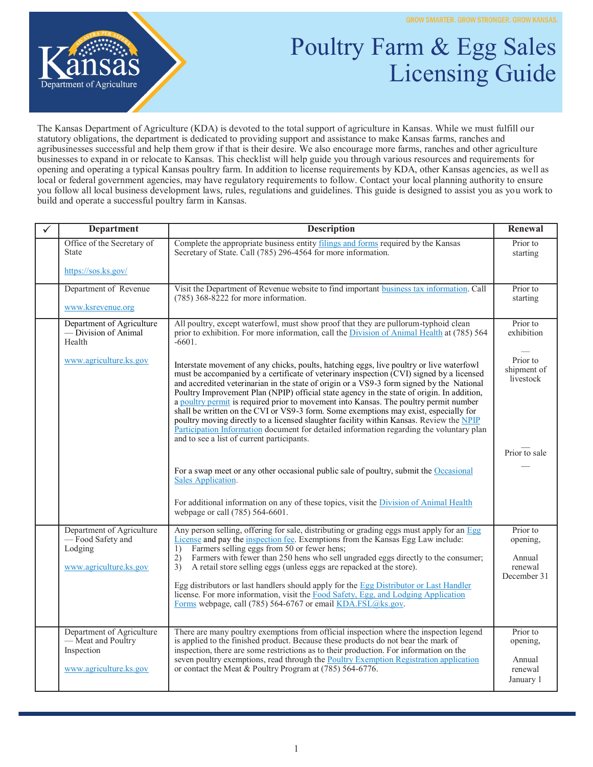

## Poultry Farm & Egg Sales Licensing Guide

The Kansas Department of Agriculture (KDA) is devoted to the total support of agriculture in Kansas. While we must fulfill our statutory obligations, the department is dedicated to providing support and assistance to make Kansas farms, ranches and agribusinesses successful and help them grow if that is their desire. We also encourage more farms, ranches and other agriculture businesses to expand in or relocate to Kansas. This checklist will help guide you through various resources and requirements for opening and operating a typical Kansas poultry farm. In addition to license requirements by KDA, other Kansas agencies, as well as local or federal government agencies, may have regulatory requirements to follow. Contact your local planning authority to ensure you follow all local business development laws, rules, regulations and guidelines. This guide is designed to assist you as you work to build and operate a successful poultry farm in Kansas.

| ✓ | <b>Department</b>                                                                  | <b>Description</b>                                                                                                                                                                                                                                                                                                                                                                                                                                                                                                                                                                                                                                                                                                                                                                                    | Renewal                                                  |
|---|------------------------------------------------------------------------------------|-------------------------------------------------------------------------------------------------------------------------------------------------------------------------------------------------------------------------------------------------------------------------------------------------------------------------------------------------------------------------------------------------------------------------------------------------------------------------------------------------------------------------------------------------------------------------------------------------------------------------------------------------------------------------------------------------------------------------------------------------------------------------------------------------------|----------------------------------------------------------|
|   | Office of the Secretary of<br><b>State</b>                                         | Complete the appropriate business entity filings and forms required by the Kansas<br>Secretary of State. Call (785) 296-4564 for more information.                                                                                                                                                                                                                                                                                                                                                                                                                                                                                                                                                                                                                                                    | Prior to<br>starting                                     |
|   | https://sos.ks.gov/                                                                |                                                                                                                                                                                                                                                                                                                                                                                                                                                                                                                                                                                                                                                                                                                                                                                                       |                                                          |
|   | Department of Revenue                                                              | Visit the Department of Revenue website to find important business tax information. Call<br>$(785)$ 368-8222 for more information.                                                                                                                                                                                                                                                                                                                                                                                                                                                                                                                                                                                                                                                                    | Prior to<br>starting                                     |
|   | www.ksrevenue.org                                                                  |                                                                                                                                                                                                                                                                                                                                                                                                                                                                                                                                                                                                                                                                                                                                                                                                       |                                                          |
|   | Department of Agriculture<br>— Division of Animal<br>Health                        | All poultry, except waterfowl, must show proof that they are pullorum-typhoid clean<br>prior to exhibition. For more information, call the Division of Animal Health at (785) 564<br>$-6601.$                                                                                                                                                                                                                                                                                                                                                                                                                                                                                                                                                                                                         | Prior to<br>exhibition                                   |
|   | www.agriculture.ks.gov                                                             | Interstate movement of any chicks, poults, hatching eggs, live poultry or live waterfowl<br>must be accompanied by a certificate of veterinary inspection (CVI) signed by a licensed<br>and accredited veterinarian in the state of origin or a VS9-3 form signed by the National<br>Poultry Improvement Plan (NPIP) official state agency in the state of origin. In addition,<br>a poultry permit is required prior to movement into Kansas. The poultry permit number<br>shall be written on the CVI or VS9-3 form. Some exemptions may exist, especially for<br>poultry moving directly to a licensed slaughter facility within Kansas. Review the NPIP<br>Participation Information document for detailed information regarding the voluntary plan<br>and to see a list of current participants. | Prior to<br>shipment of<br>livestock                     |
|   |                                                                                    |                                                                                                                                                                                                                                                                                                                                                                                                                                                                                                                                                                                                                                                                                                                                                                                                       | Prior to sale                                            |
|   |                                                                                    | For a swap meet or any other occasional public sale of poultry, submit the Occasional<br>Sales Application.                                                                                                                                                                                                                                                                                                                                                                                                                                                                                                                                                                                                                                                                                           |                                                          |
|   |                                                                                    | For additional information on any of these topics, visit the Division of Animal Health<br>webpage or call (785) 564-6601.                                                                                                                                                                                                                                                                                                                                                                                                                                                                                                                                                                                                                                                                             |                                                          |
|   | Department of Agriculture<br>-Food Safety and<br>Lodging<br>www.agriculture.ks.gov | Any person selling, offering for sale, distributing or grading eggs must apply for an Egg<br>License and pay the inspection fee. Exemptions from the Kansas Egg Law include:<br>Farmers selling eggs from 50 or fewer hens;<br>1)<br>Farmers with fewer than 250 hens who sell ungraded eggs directly to the consumer;<br>2)<br>3)<br>A retail store selling eggs (unless eggs are repacked at the store).                                                                                                                                                                                                                                                                                                                                                                                            | Prior to<br>opening,<br>Annual<br>renewal<br>December 31 |
|   |                                                                                    | Egg distributors or last handlers should apply for the Egg Distributor or Last Handler<br>license. For more information, visit the Food Safety, Egg, and Lodging Application<br>Forms webpage, call (785) 564-6767 or email KDA.FSL@ks.gov.                                                                                                                                                                                                                                                                                                                                                                                                                                                                                                                                                           |                                                          |
|   | Department of Agriculture<br>- Meat and Poultry<br>Inspection                      | There are many poultry exemptions from official inspection where the inspection legend<br>is applied to the finished product. Because these products do not bear the mark of<br>inspection, there are some restrictions as to their production. For information on the                                                                                                                                                                                                                                                                                                                                                                                                                                                                                                                                | Prior to<br>opening,                                     |
|   | www.agriculture.ks.gov                                                             | seven poultry exemptions, read through the <b>Poultry Exemption Registration application</b><br>or contact the Meat & Poultry Program at (785) 564-6776.                                                                                                                                                                                                                                                                                                                                                                                                                                                                                                                                                                                                                                              | Annual<br>renewal<br>January 1                           |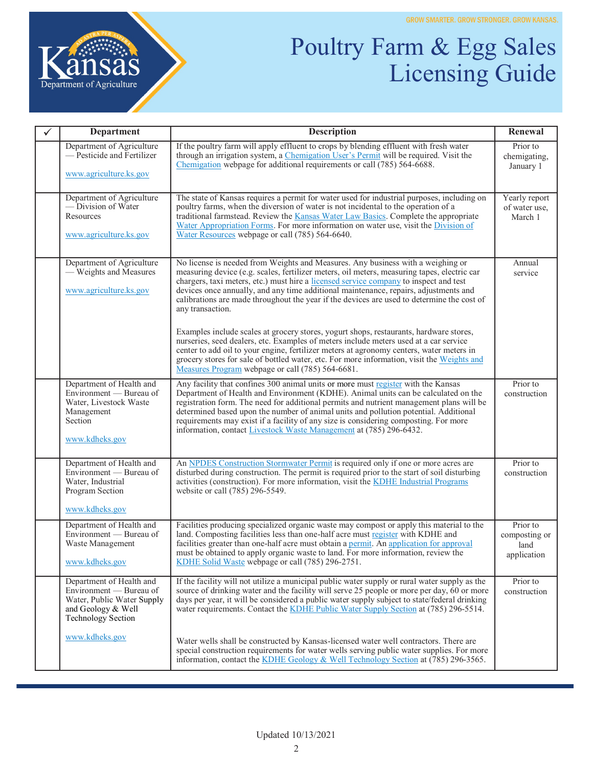

## Poultry Farm & Egg Sales Licensing Guide

| $\checkmark$ | Department                                                                                                                           | <b>Description</b>                                                                                                                                                                                                                                                                                                                                                                                                                                                                                                        | Renewal                                          |
|--------------|--------------------------------------------------------------------------------------------------------------------------------------|---------------------------------------------------------------------------------------------------------------------------------------------------------------------------------------------------------------------------------------------------------------------------------------------------------------------------------------------------------------------------------------------------------------------------------------------------------------------------------------------------------------------------|--------------------------------------------------|
|              | Department of Agriculture<br>- Pesticide and Fertilizer<br>www.agriculture.ks.gov                                                    | If the poultry farm will apply effluent to crops by blending effluent with fresh water<br>through an irrigation system, a Chemigation User's Permit will be required. Visit the<br>Chemigation webpage for additional requirements or call (785) 564-6688.                                                                                                                                                                                                                                                                | Prior to<br>chemigating,<br>January 1            |
|              | Department of Agriculture<br>-Division of Water<br>Resources<br>www.agriculture.ks.gov                                               | The state of Kansas requires a permit for water used for industrial purposes, including on<br>poultry farms, when the diversion of water is not incidental to the operation of a<br>traditional farmstead. Review the Kansas Water Law Basics. Complete the appropriate<br>Water Appropriation Forms. For more information on water use, visit the Division of<br>Water Resources webpage or call (785) 564-6640.                                                                                                         | Yearly report<br>of water use,<br>March 1        |
|              | Department of Agriculture<br>- Weights and Measures<br>www.agriculture.ks.gov                                                        | No license is needed from Weights and Measures. Any business with a weighing or<br>measuring device (e.g. scales, fertilizer meters, oil meters, measuring tapes, electric car<br>chargers, taxi meters, etc.) must hire a licensed service company to inspect and test<br>devices once annually, and any time additional maintenance, repairs, adjustments and<br>calibrations are made throughout the year if the devices are used to determine the cost of<br>any transaction.                                         | Annual<br>service                                |
|              |                                                                                                                                      | Examples include scales at grocery stores, yogurt shops, restaurants, hardware stores,<br>nurseries, seed dealers, etc. Examples of meters include meters used at a car service<br>center to add oil to your engine, fertilizer meters at agronomy centers, water meters in<br>grocery stores for sale of bottled water, etc. For more information, visit the Weights and<br>Measures Program webpage or call (785) 564-6681.                                                                                             |                                                  |
|              | Department of Health and<br>Environment — Bureau of<br>Water, Livestock Waste<br>Management<br>Section<br>www.kdheks.gov             | Any facility that confines 300 animal units or more must register with the Kansas<br>Department of Health and Environment (KDHE). Animal units can be calculated on the<br>registration form. The need for additional permits and nutrient management plans will be<br>determined based upon the number of animal units and pollution potential. Additional<br>requirements may exist if a facility of any size is considering composting. For more<br>information, contact Livestock Waste Management at (785) 296-6432. | Prior to<br>construction                         |
|              | Department of Health and<br>Environment — Bureau of<br>Water, Industrial<br>Program Section<br>www.kdheks.gov                        | An NPDES Construction Stormwater Permit is required only if one or more acres are<br>disturbed during construction. The permit is required prior to the start of soil disturbing<br>activities (construction). For more information, visit the KDHE Industrial Programs<br>website or call (785) 296-5549.                                                                                                                                                                                                                | Prior to<br>construction                         |
|              | Department of Health and<br>Environment - Bureau of<br>Waste Management<br>www.kdheks.gov                                            | Facilities producing specialized organic waste may compost or apply this material to the<br>land. Composting facilities less than one-half acre must register with KDHE and<br>facilities greater than one-half acre must obtain a permit. An application for approval<br>must be obtained to apply organic waste to land. For more information, review the<br>KDHE Solid Waste webpage or call (785) 296-2751.                                                                                                           | Prior to<br>composting or<br>land<br>application |
|              | Department of Health and<br>Environment — Bureau of<br>Water, Public Water Supply<br>and Geology & Well<br><b>Technology Section</b> | If the facility will not utilize a municipal public water supply or rural water supply as the<br>source of drinking water and the facility will serve 25 people or more per day, 60 or more<br>days per year, it will be considered a public water supply subject to state/federal drinking<br>water requirements. Contact the KDHE Public Water Supply Section at (785) 296-5514.                                                                                                                                        | Prior to<br>construction                         |
|              | www.kdheks.gov                                                                                                                       | Water wells shall be constructed by Kansas-licensed water well contractors. There are<br>special construction requirements for water wells serving public water supplies. For more<br>information, contact the KDHE Geology & Well Technology Section at (785) 296-3565.                                                                                                                                                                                                                                                  |                                                  |